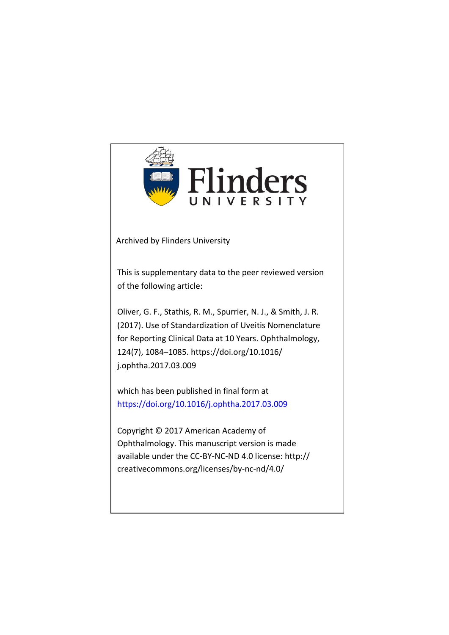

Archived by Flinders University

This is supplementary data to the peer reviewed version of the following article:

Oliver, G. F., Stathis, R. M., Spurrier, N. J., & Smith, J. R. (2017). Use of Standardization of Uveitis Nomenclature for Reporting Clinical Data at 10 Years. Ophthalmology, 124(7), 1084–1085. https://doi.org/10.1016/ j.ophtha.2017.03.009

which has been published in final form at https://doi.org/10.1016/j.ophtha.2017.03.009

Copyright © 2017 American Academy of Ophthalmology. This manuscript version is made available under the CC-BY-NC-ND 4.0 license: http:// creativecommons.org/licenses/by-nc-nd/4.0/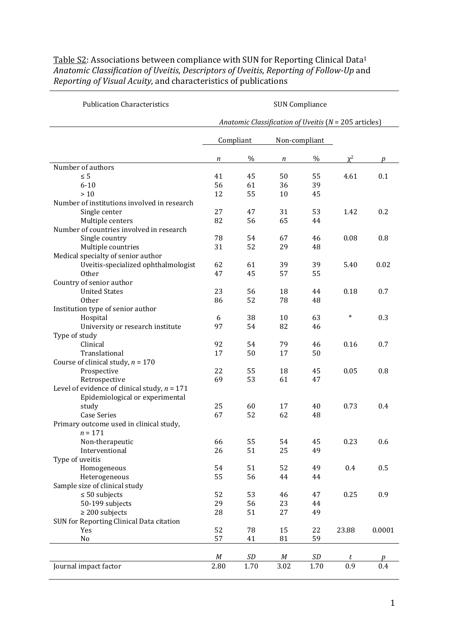| <b>Publication Characteristics</b>                                                | <b>SUN Compliance</b><br>Anatomic Classification of Uveitis (N = 205 articles) |      |                  |      |          |        |  |
|-----------------------------------------------------------------------------------|--------------------------------------------------------------------------------|------|------------------|------|----------|--------|--|
|                                                                                   |                                                                                |      |                  |      |          |        |  |
|                                                                                   | Compliant                                                                      |      | Non-compliant    |      |          |        |  |
|                                                                                   | n                                                                              | $\%$ | n                | $\%$ | $\chi^2$ | p      |  |
| Number of authors                                                                 |                                                                                |      |                  |      |          |        |  |
| $\leq 5$                                                                          | 41                                                                             | 45   | 50               | 55   | 4.61     | 0.1    |  |
| $6 - 10$                                                                          | 56                                                                             | 61   | 36               | 39   |          |        |  |
| $>10$                                                                             | 12                                                                             | 55   | 10               | 45   |          |        |  |
| Number of institutions involved in research                                       |                                                                                |      |                  |      |          |        |  |
| Single center                                                                     | 27                                                                             | 47   | 31               | 53   | 1.42     | 0.2    |  |
| Multiple centers                                                                  | 82                                                                             | 56   | 65               | 44   |          |        |  |
| Number of countries involved in research                                          |                                                                                |      |                  |      |          |        |  |
| Single country                                                                    | 78                                                                             | 54   | 67               | 46   | 0.08     | 0.8    |  |
| Multiple countries                                                                | 31                                                                             | 52   | 29               | 48   |          |        |  |
| Medical specialty of senior author                                                |                                                                                |      |                  |      |          |        |  |
| Uveitis-specialized ophthalmologist                                               | 62                                                                             | 61   | 39               | 39   | 5.40     | 0.02   |  |
| Other                                                                             | 47                                                                             | 45   | 57               | 55   |          |        |  |
| Country of senior author                                                          |                                                                                |      |                  |      |          |        |  |
| <b>United States</b>                                                              | 23                                                                             | 56   | 18               | 44   | 0.18     | 0.7    |  |
| <b>Other</b>                                                                      | 86                                                                             | 52   | 78               | 48   |          |        |  |
| Institution type of senior author                                                 |                                                                                |      |                  |      |          |        |  |
| Hospital                                                                          | 6                                                                              | 38   | 10               | 63   | $\ast$   | 0.3    |  |
| University or research institute                                                  | 97                                                                             | 54   | 82               | 46   |          |        |  |
| Type of study                                                                     |                                                                                |      |                  |      |          |        |  |
| Clinical                                                                          | 92                                                                             | 54   | 79               | 46   | 0.16     | 0.7    |  |
| Translational                                                                     | 17                                                                             | 50   | 17               | 50   |          |        |  |
| Course of clinical study, $n = 170$                                               |                                                                                |      |                  |      |          |        |  |
| Prospective                                                                       | 22                                                                             | 55   | 18               | 45   | 0.05     | 0.8    |  |
| Retrospective                                                                     | 69                                                                             | 53   | 61               | 47   |          |        |  |
| Level of evidence of clinical study, $n = 171$<br>Epidemiological or experimental |                                                                                |      |                  |      |          |        |  |
| study                                                                             | 25                                                                             | 60   | 17               | 40   | 0.73     | 0.4    |  |
| <b>Case Series</b>                                                                | 67                                                                             | 52   | 62               | 48   |          |        |  |
| Primary outcome used in clinical study,<br>$n = 171$                              |                                                                                |      |                  |      |          |        |  |
| Non-therapeutic                                                                   | 66                                                                             | 55   | 54               | 45   | 0.23     | 0.6    |  |
| Interventional                                                                    | 26                                                                             | 51   | 25               | 49   |          |        |  |
| Type of uveitis                                                                   |                                                                                |      |                  |      |          |        |  |
| Homogeneous                                                                       | 54                                                                             | 51   | 52               | 49   | 0.4      | 0.5    |  |
| Heterogeneous                                                                     | 55                                                                             | 56   | 44               | 44   |          |        |  |
| Sample size of clinical study                                                     |                                                                                |      |                  |      |          |        |  |
| $\leq 50$ subjects                                                                | 52                                                                             | 53   | 46               | 47   | 0.25     | 0.9    |  |
| 50-199 subjects                                                                   | 29                                                                             | 56   | 23               | 44   |          |        |  |
| $\geq$ 200 subjects                                                               | 28                                                                             | 51   | 27               | 49   |          |        |  |
| SUN for Reporting Clinical Data citation                                          |                                                                                |      |                  |      |          |        |  |
| Yes                                                                               | 52                                                                             | 78   | 15               | 22   | 23.88    | 0.0001 |  |
| No                                                                                | 57                                                                             | 41   | 81               | 59   |          |        |  |
|                                                                                   | $M_{\rm}$                                                                      | SD   | $\boldsymbol{M}$ | SD   | t        | p      |  |
| Journal impact factor                                                             | 2.80                                                                           | 1.70 | 3.02             | 1.70 | 0.9      | 0.4    |  |
|                                                                                   |                                                                                |      |                  |      |          |        |  |

## Table S2: Associations between compliance with SUN for Reporting Clinical Data<sup>1</sup> *Anatomic Classification of Uveitis*, *Descriptors of Uveitis*, *Reporting of Follow-Up* and *Reporting of Visual Acuity,* and characteristics of publications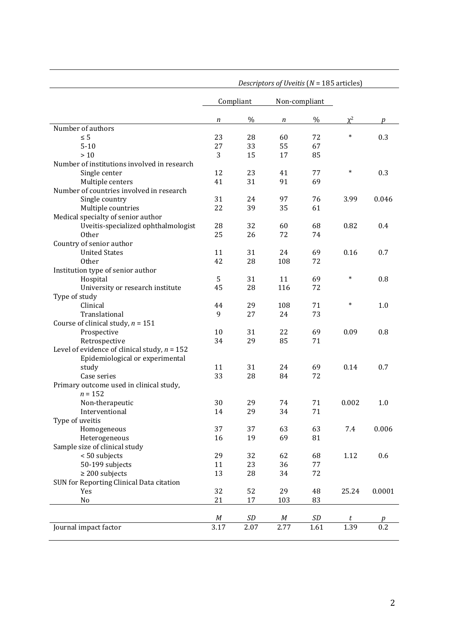|                                                | Descriptors of Uveitis (N = 185 articles) |               |               |           |          |        |
|------------------------------------------------|-------------------------------------------|---------------|---------------|-----------|----------|--------|
|                                                | Compliant                                 |               | Non-compliant |           |          |        |
|                                                | n                                         | $\%$          | n             | $\%$      | $\chi^2$ | p      |
| Number of authors                              |                                           |               |               |           |          |        |
| $\leq 5$                                       | 23                                        | 28            | 60            | 72        | *        | 0.3    |
| $5 - 10$                                       | 27                                        | 33            | 55            | 67        |          |        |
| $>10$                                          | 3                                         | 15            | 17            | 85        |          |        |
| Number of institutions involved in research    |                                           |               |               |           |          |        |
| Single center                                  | 12                                        | 23            | 41            | 77        | $\ast$   | 0.3    |
| Multiple centers                               | 41                                        | 31            | 91            | 69        |          |        |
| Number of countries involved in research       |                                           |               |               |           |          |        |
| Single country                                 | 31                                        | 24            | 97            | 76        | 3.99     | 0.046  |
| Multiple countries                             | 22                                        | 39            | 35            | 61        |          |        |
| Medical specialty of senior author             |                                           |               |               |           |          |        |
| Uveitis-specialized ophthalmologist            | 28                                        | 32            | 60            | 68        | 0.82     | 0.4    |
| <b>Other</b>                                   | 25                                        | 26            | 72            | 74        |          |        |
| Country of senior author                       |                                           |               |               |           |          |        |
| <b>United States</b>                           | 11                                        | 31            | 24            | 69        | 0.16     | 0.7    |
| <b>Other</b>                                   | 42                                        | 28            | 108           | 72        |          |        |
| Institution type of senior author              |                                           |               |               |           |          |        |
| Hospital                                       | 5                                         | 31            | 11            | 69        | $\ast$   | 0.8    |
| University or research institute               | 45                                        | 28            | 116           | 72        |          |        |
| Type of study                                  |                                           |               |               |           |          |        |
| Clinical                                       | 44                                        | 29            | 108           | 71        | $\ast$   | 1.0    |
| Translational                                  | 9                                         | 27            | 24            | 73        |          |        |
| Course of clinical study, $n = 151$            |                                           |               |               |           |          |        |
| Prospective                                    | 10                                        | 31            | 22            | 69        | 0.09     | 0.8    |
| Retrospective                                  | 34                                        | 29            | 85            | 71        |          |        |
| Level of evidence of clinical study, $n = 152$ |                                           |               |               |           |          |        |
| Epidemiological or experimental                |                                           |               |               |           |          |        |
| study                                          | 11                                        | 31            | 24            | 69        | 0.14     | 0.7    |
| Case series                                    | 33                                        | 28            | 84            | 72        |          |        |
| Primary outcome used in clinical study,        |                                           |               |               |           |          |        |
| $n = 152$                                      |                                           |               |               |           |          |        |
| Non-therapeutic                                | 30                                        | 29            | 74            | 71        | 0.002    | 1.0    |
| Interventional                                 | 14                                        | 29            | 34            | 71        |          |        |
| Type of uveitis                                |                                           |               |               |           |          |        |
| Homogeneous                                    | 37                                        | 37            | 63            | 63        | 7.4      | 0.006  |
| Heterogeneous                                  | 16                                        | 19            | 69            | 81        |          |        |
| Sample size of clinical study                  |                                           |               |               |           |          |        |
| < 50 subjects                                  | 29                                        | 32            | 62            | 68        | 1.12     | 0.6    |
| 50-199 subjects                                | 11                                        | 23            | 36            | 77        |          |        |
| $\geq$ 200 subjects                            | 13                                        | 28            | 34            | 72        |          |        |
| SUN for Reporting Clinical Data citation       |                                           |               |               |           |          |        |
| Yes                                            | 32                                        | 52            | 29            | 48        | 25.24    | 0.0001 |
| No                                             | 21                                        | 17            | 103           | 83        |          |        |
|                                                |                                           |               |               |           |          |        |
|                                                | $\cal M$                                  | $\mathit{SD}$ | M             | $\cal SD$ | t        | p      |
| Journal impact factor                          | 3.17                                      | 2.07          | 2.77          | 1.61      | 1.39     | 0.2    |
|                                                |                                           |               |               |           |          |        |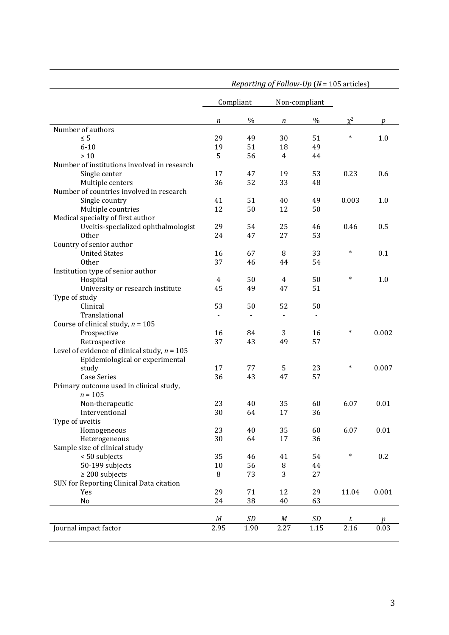|                                                | <i>Reporting of Follow-Up</i> ( $N = 105$ articles) |                          |                          |                          |          |       |
|------------------------------------------------|-----------------------------------------------------|--------------------------|--------------------------|--------------------------|----------|-------|
|                                                | Compliant                                           |                          | Non-compliant            |                          |          |       |
|                                                | $\boldsymbol{n}$                                    | $\%$                     | n                        | $\%$                     | $\chi^2$ | р     |
| Number of authors                              |                                                     |                          |                          |                          |          |       |
| $\leq 5$                                       | 29                                                  | 49                       | 30                       | 51                       | $\ast$   | 1.0   |
| $6 - 10$                                       | 19                                                  | 51                       | 18                       | 49                       |          |       |
| $>10$                                          | 5                                                   | 56                       | $\overline{4}$           | 44                       |          |       |
| Number of institutions involved in research    |                                                     |                          |                          |                          |          |       |
| Single center                                  | 17                                                  | 47                       | 19                       | 53                       | 0.23     | 0.6   |
| Multiple centers                               | 36                                                  | 52                       | 33                       | 48                       |          |       |
| Number of countries involved in research       |                                                     |                          |                          |                          |          |       |
| Single country                                 | 41                                                  | 51                       | 40                       | 49                       | 0.003    | 1.0   |
| Multiple countries                             | 12                                                  | 50                       | 12                       | 50                       |          |       |
| Medical specialty of first author              |                                                     |                          |                          |                          |          |       |
| Uveitis-specialized ophthalmologist            | 29                                                  | 54                       | 25                       | 46                       | 0.46     | 0.5   |
| <b>Other</b>                                   | 24                                                  | 47                       | 27                       | 53                       |          |       |
| Country of senior author                       |                                                     |                          |                          |                          |          |       |
| <b>United States</b>                           | 16                                                  | 67                       | 8                        | 33                       | $\ast$   | 0.1   |
| <b>Other</b>                                   | 37                                                  | 46                       | 44                       | 54                       |          |       |
| Institution type of senior author              |                                                     |                          |                          |                          |          |       |
| Hospital                                       | 4                                                   | 50                       | 4                        | 50                       | $\ast$   | 1.0   |
| University or research institute               | 45                                                  | 49                       | 47                       | 51                       |          |       |
| Type of study                                  |                                                     |                          |                          |                          |          |       |
| Clinical                                       | 53                                                  | 50                       | 52                       | 50                       |          |       |
| Translational                                  | $\overline{\phantom{a}}$                            | $\overline{\phantom{a}}$ | $\overline{\phantom{a}}$ | $\overline{\phantom{a}}$ |          |       |
| Course of clinical study, $n = 105$            |                                                     |                          |                          |                          |          |       |
| Prospective                                    | 16                                                  | 84                       | 3                        | 16                       | $\ast$   | 0.002 |
| Retrospective                                  | 37                                                  | 43                       | 49                       | 57                       |          |       |
| Level of evidence of clinical study, $n = 105$ |                                                     |                          |                          |                          |          |       |
| Epidemiological or experimental                | 17                                                  | 77                       | 5                        | 23                       | $\ast$   | 0.007 |
| study                                          | 36                                                  |                          |                          | 57                       |          |       |
| <b>Case Series</b>                             |                                                     | 43                       | 47                       |                          |          |       |
| Primary outcome used in clinical study,        |                                                     |                          |                          |                          |          |       |
| $n = 105$                                      |                                                     |                          |                          |                          |          |       |
| Non-therapeutic                                | 23                                                  | 40                       | 35                       | 60                       | 6.07     | 0.01  |
| Interventional                                 | 30                                                  | 64                       | $17\,$                   | 36                       |          |       |
| Type of uveitis                                | 23                                                  |                          |                          |                          |          |       |
| Homogeneous                                    |                                                     | 40                       | 35                       | 60                       | 6.07     | 0.01  |
| Heterogeneous                                  | 30                                                  | 64                       | 17                       | 36                       |          |       |
| Sample size of clinical study                  |                                                     |                          |                          |                          | $\ast$   |       |
| < 50 subjects                                  | 35                                                  | 46                       | 41                       | 54                       |          | 0.2   |
| 50-199 subjects                                | 10                                                  | 56                       | 8                        | 44                       |          |       |
| $\geq$ 200 subjects                            | 8                                                   | 73                       | 3                        | 27                       |          |       |
| SUN for Reporting Clinical Data citation       |                                                     |                          |                          |                          |          |       |
| Yes                                            | 29                                                  | 71                       | 12                       | 29                       | 11.04    | 0.001 |
| No                                             | 24                                                  | 38                       | 40                       | 63                       |          |       |
|                                                | M                                                   | SD                       | M                        | SD                       | $\it t$  | p     |
| Journal impact factor                          | 2.95                                                | 1.90                     | 2.27                     | 1.15                     | 2.16     | 0.03  |
|                                                |                                                     |                          |                          |                          |          |       |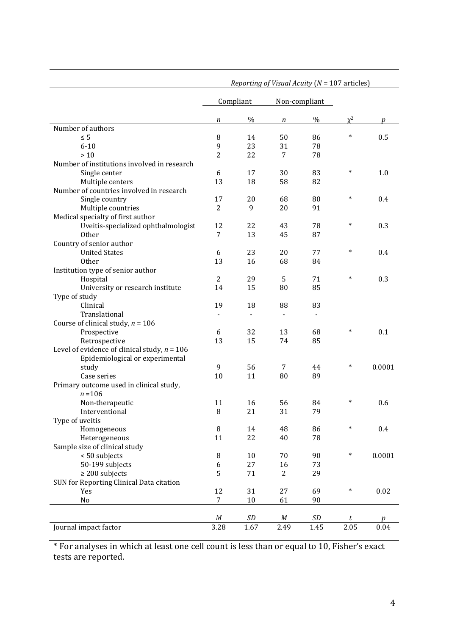|                                                | Reporting of Visual Acuity ( $N = 107$ articles) |                |                |                          |          |        |
|------------------------------------------------|--------------------------------------------------|----------------|----------------|--------------------------|----------|--------|
|                                                | Compliant                                        |                | Non-compliant  |                          |          |        |
|                                                | n                                                | %              | n              | $\%$                     | $\chi^2$ | р      |
| Number of authors                              |                                                  |                |                |                          |          |        |
| $\leq 5$                                       | 8                                                | 14             | 50             | 86                       | $\ast$   | 0.5    |
| $6 - 10$                                       | 9                                                | 23             | 31             | 78                       |          |        |
| $>10$                                          | $\overline{2}$                                   | 22             | 7              | 78                       |          |        |
| Number of institutions involved in research    |                                                  |                |                |                          |          |        |
| Single center                                  | 6                                                | 17             | 30             | 83                       | $\ast$   | 1.0    |
| Multiple centers                               | 13                                               | 18             | 58             | 82                       |          |        |
| Number of countries involved in research       |                                                  |                |                |                          |          |        |
| Single country                                 | 17                                               | 20             | 68             | 80                       | $\ast$   | 0.4    |
| Multiple countries                             | $\overline{2}$                                   | 9              | 20             | 91                       |          |        |
| Medical specialty of first author              |                                                  |                |                |                          |          |        |
| Uveitis-specialized ophthalmologist            | 12                                               | 22             | 43             | 78                       | $\ast$   | 0.3    |
| Other                                          | $\overline{7}$                                   | 13             | 45             | 87                       |          |        |
| Country of senior author                       |                                                  |                |                |                          |          |        |
| <b>United States</b>                           | 6                                                | 23             | 20             | 77                       | $\ast$   | 0.4    |
| <b>Other</b>                                   | 13                                               | 16             | 68             | 84                       |          |        |
| Institution type of senior author              |                                                  |                |                |                          |          |        |
| Hospital                                       | $\overline{2}$                                   | 29             | 5              | 71                       | $\ast$   | 0.3    |
| University or research institute               | 14                                               | 15             | 80             | 85                       |          |        |
| Type of study                                  |                                                  |                |                |                          |          |        |
| Clinical                                       | 19                                               | 18             | 88             | 83                       |          |        |
| Translational                                  | $\blacksquare$                                   | $\blacksquare$ | $\blacksquare$ | $\overline{\phantom{a}}$ |          |        |
| Course of clinical study, $n = 106$            |                                                  |                |                |                          |          |        |
| Prospective                                    | 6                                                | 32             | 13             | 68                       | $\ast$   | 0.1    |
| Retrospective                                  | 13                                               | 15             | 74             | 85                       |          |        |
| Level of evidence of clinical study, $n = 106$ |                                                  |                |                |                          |          |        |
| Epidemiological or experimental                |                                                  |                |                |                          |          |        |
| study                                          | 9                                                | 56             | $\overline{7}$ | 44                       | $\ast$   | 0.0001 |
| Case series                                    | 10                                               | 11             | 80             | 89                       |          |        |
| Primary outcome used in clinical study,        |                                                  |                |                |                          |          |        |
| $n = 106$                                      |                                                  |                |                |                          |          |        |
| Non-therapeutic                                | 11                                               | 16             | 56             | 84                       | *        | 0.6    |
| Interventional                                 | $\, 8$                                           | 21             | 31             | 79                       |          |        |
| Type of uveitis                                |                                                  |                |                |                          |          |        |
| Homogeneous                                    | 8                                                | 14             | 48             | 86                       | *        | 0.4    |
| Heterogeneous                                  | 11                                               | 22             | 40             | 78                       |          |        |
| Sample size of clinical study                  |                                                  |                |                |                          |          |        |
| < 50 subjects                                  | 8                                                | 10             | 70             | 90                       | $\ast$   | 0.0001 |
| 50-199 subjects                                | 6                                                | 27             | 16             | 73                       |          |        |
| $\geq$ 200 subjects                            | 5                                                | 71             | 2              | 29                       |          |        |
| SUN for Reporting Clinical Data citation       |                                                  |                |                |                          |          |        |
| Yes                                            | 12                                               | 31             | 27             | 69                       | $\ast$   | 0.02   |
| No                                             | $\boldsymbol{7}$                                 | 10             | 61             | 90                       |          |        |
|                                                |                                                  |                |                |                          |          |        |
|                                                | $\cal M$                                         | $\emph{SD}$    | M              | SD                       | t        | p      |
| Journal impact factor                          | 3.28                                             | 1.67           | 2.49           | 1.45                     | 2.05     | 0.04   |

\* For analyses in which at least one cell count is less than or equal to 10, Fisher's exact tests are reported.